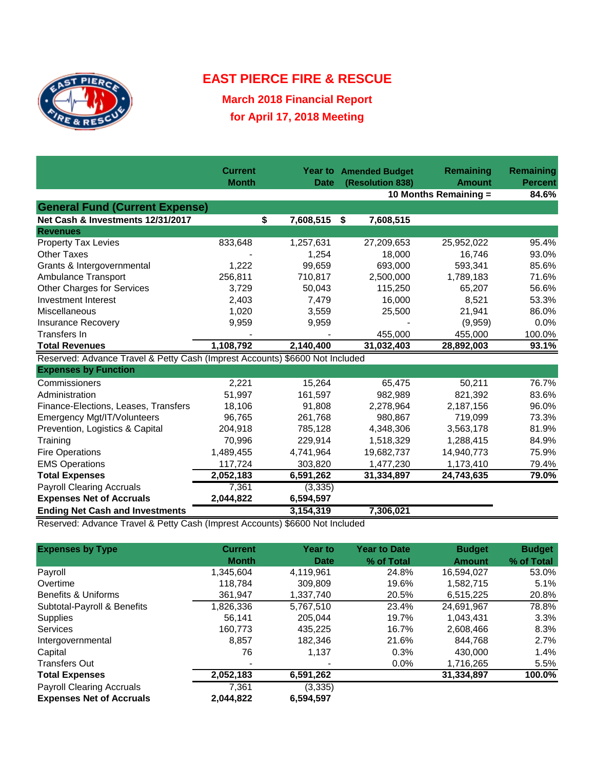

## **EAST PIERCE FIRE & RESCUE**

**March 2018 Financial Report for April 17, 2018 Meeting**

|                                                                              | <b>Current</b><br><b>Month</b> | <b>Date</b> | <b>Year to Amended Budget</b><br>(Resolution 838) | Remaining<br><b>Amount</b> | Remaining<br><b>Percent</b> |
|------------------------------------------------------------------------------|--------------------------------|-------------|---------------------------------------------------|----------------------------|-----------------------------|
|                                                                              |                                |             | 10 Months Remaining =                             | 84.6%                      |                             |
| <b>General Fund (Current Expense)</b>                                        |                                |             |                                                   |                            |                             |
| Net Cash & Investments 12/31/2017                                            | \$                             | 7,608,515   | \$<br>7,608,515                                   |                            |                             |
| <b>Revenues</b>                                                              |                                |             |                                                   |                            |                             |
| <b>Property Tax Levies</b>                                                   | 833,648                        | 1,257,631   | 27,209,653                                        | 25,952,022                 | 95.4%                       |
| <b>Other Taxes</b>                                                           |                                | 1,254       | 18,000                                            | 16,746                     | 93.0%                       |
| Grants & Intergovernmental                                                   | 1,222                          | 99,659      | 693,000                                           | 593,341                    | 85.6%                       |
| Ambulance Transport                                                          | 256,811                        | 710,817     | 2,500,000                                         | 1,789,183                  | 71.6%                       |
| <b>Other Charges for Services</b>                                            | 3,729                          | 50,043      | 115,250                                           | 65,207                     | 56.6%                       |
| Investment Interest                                                          | 2,403                          | 7,479       | 16,000                                            | 8,521                      | 53.3%                       |
| Miscellaneous                                                                | 1,020                          | 3,559       | 25,500                                            | 21,941                     | 86.0%                       |
| <b>Insurance Recovery</b>                                                    | 9,959                          | 9,959       |                                                   | (9,959)                    | 0.0%                        |
| Transfers In                                                                 |                                |             | 455,000                                           | 455,000                    | 100.0%                      |
| <b>Total Revenues</b>                                                        | 1,108,792                      | 2,140,400   | 31,032,403                                        | 28,892,003                 | 93.1%                       |
| Reserved: Advance Travel & Petty Cash (Imprest Accounts) \$6600 Not Included |                                |             |                                                   |                            |                             |
| <b>Expenses by Function</b>                                                  |                                |             |                                                   |                            |                             |
| Commissioners                                                                | 2,221                          | 15,264      | 65,475                                            | 50,211                     | 76.7%                       |
| Administration                                                               | 51,997                         | 161,597     | 982,989                                           | 821,392                    | 83.6%                       |
| Finance-Elections, Leases, Transfers                                         | 18,106                         | 91,808      | 2,278,964                                         | 2,187,156                  | 96.0%                       |
| Emergency Mgt/IT/Volunteers                                                  | 96,765                         | 261,768     | 980,867                                           | 719,099                    | 73.3%                       |
| Prevention, Logistics & Capital                                              | 204,918                        | 785,128     | 4,348,306                                         | 3,563,178                  | 81.9%                       |
| Training                                                                     | 70,996                         | 229,914     | 1,518,329                                         | 1,288,415                  | 84.9%                       |
| <b>Fire Operations</b>                                                       | 1,489,455                      | 4,741,964   | 19,682,737                                        | 14,940,773                 | 75.9%                       |
| <b>EMS Operations</b>                                                        | 117,724                        | 303,820     | 1,477,230                                         | 1,173,410                  | 79.4%                       |
| <b>Total Expenses</b>                                                        | 2,052,183                      | 6,591,262   | 31,334,897                                        | 24,743,635                 | 79.0%                       |
| <b>Payroll Clearing Accruals</b>                                             | 7,361                          | (3, 335)    |                                                   |                            |                             |
| <b>Expenses Net of Accruals</b>                                              | 2,044,822                      | 6,594,597   |                                                   |                            |                             |
| <b>Ending Net Cash and Investments</b>                                       |                                | 3,154,319   | 7,306,021                                         |                            |                             |

Reserved: Advance Travel & Petty Cash (Imprest Accounts) \$6600 Not Included

| <b>Expenses by Type</b>          | <b>Current</b> | <b>Year to</b> | <b>Year to Date</b> | <b>Budget</b> | <b>Budget</b> |
|----------------------------------|----------------|----------------|---------------------|---------------|---------------|
|                                  | <b>Month</b>   | <b>Date</b>    | % of Total          | <b>Amount</b> | % of Total    |
| Payroll                          | 1.345.604      | 4,119,961      | 24.8%               | 16,594,027    | 53.0%         |
| Overtime                         | 118.784        | 309.809        | 19.6%               | 1,582,715     | 5.1%          |
| Benefits & Uniforms              | 361.947        | 1.337.740      | 20.5%               | 6,515,225     | 20.8%         |
| Subtotal-Payroll & Benefits      | 1,826,336      | 5,767,510      | 23.4%               | 24,691,967    | 78.8%         |
| <b>Supplies</b>                  | 56,141         | 205.044        | 19.7%               | 1.043.431     | 3.3%          |
| <b>Services</b>                  | 160,773        | 435,225        | 16.7%               | 2,608,466     | 8.3%          |
| Intergovernmental                | 8,857          | 182.346        | 21.6%               | 844.768       | 2.7%          |
| Capital                          | 76             | 1.137          | 0.3%                | 430,000       | 1.4%          |
| <b>Transfers Out</b>             |                |                | 0.0%                | 1,716,265     | 5.5%          |
| <b>Total Expenses</b>            | 2,052,183      | 6,591,262      |                     | 31,334,897    | 100.0%        |
| <b>Payroll Clearing Accruals</b> | 7.361          | (3, 335)       |                     |               |               |
| <b>Expenses Net of Accruals</b>  | 2.044.822      | 6,594,597      |                     |               |               |